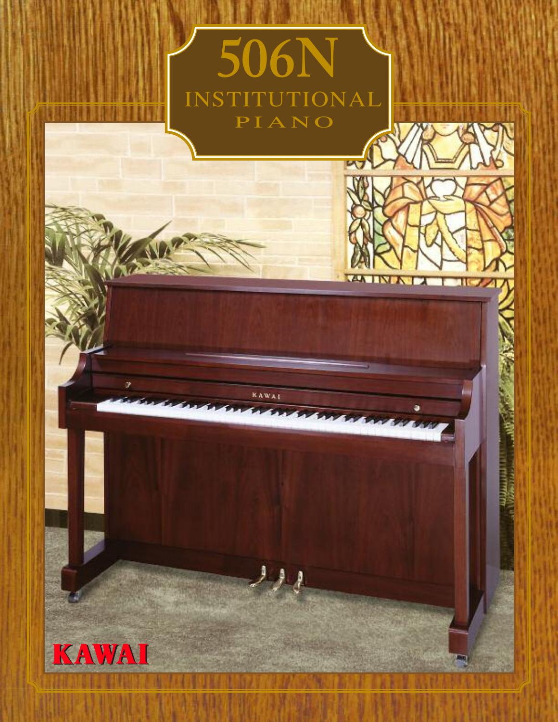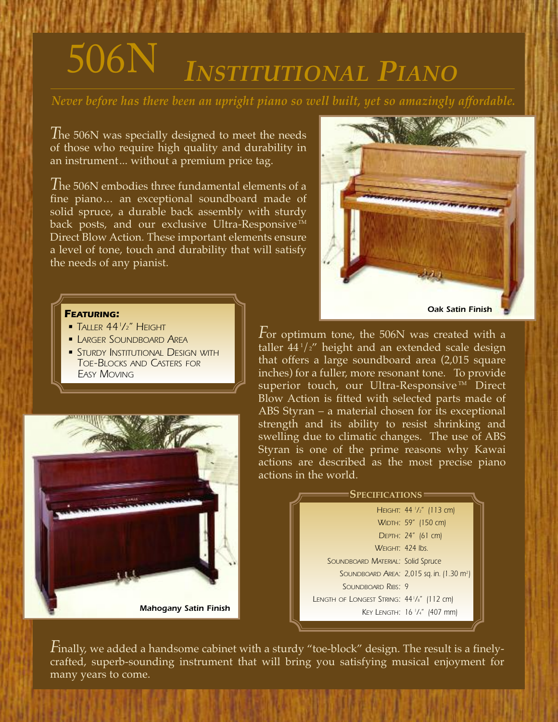# 506N *INSTITUTIONAL PIANO*

*Never before has there been an upright piano so well built, yet so amazingly affordable.*

*T*he 506N was specially designed to meet the needs of those who require high quality and durability in an instrument... without a premium price tag.

*T*he 506N embodies three fundamental elements of <sup>a</sup> fine piano... an exceptional soundboard made of solid spruce, a durable back assembly with sturdy back posts, and our exclusive Ultra-Responsive  $TM$ Direct Blow Action. These important elements ensure a level of tone, touch and durability that will satisfy the needs of any pianist.

#### *FEATURING:*

- *• TALLER 441 /2" HEIGHT*
- *• LARGER SOUNDBOARD AREA*
- *• STURDY INSTITUTIONAL DESIGN WITH TOE-BLOCKS AND CASTERS FOR EASY MOVING*





*F*or optimum tone, the 506N was created with <sup>a</sup> taller 44 <sup>1</sup> /2" height and an extended scale design that offers a large soundboard area (2,015 square inches) for a fuller, more resonant tone. To provide superior touch, our Ultra-Responsive™ Direct Blow Action is fitted with selected parts made of ABS Styran – a material chosen for its exceptional strength and its ability to resist shrinking and swelling due to climatic changes. The use of ABS Styran is one of the prime reasons why Kawai actions are described as the most precise piano actions in the world.

#### *44 <sup>1</sup> /2" (113 cm) HEIGHT: 59" (150 cm) WIDTH:* **SPECIFICATIONS**

*24" (61 cm) DEPTH: 424 lbs. WEIGHT: Solid Spruce SOUNDBOARD MATERIAL: 2,015 sq. in. (1.30 m2 ) SOUNDBOARD AREA: 9 SOUNDBOARD RIBS: 441 /8" (112 cm) LENGTH OF LONGEST STRING: 16 <sup>1</sup> /4" (407 mm) KEY LENGTH:*

*F*inally, we added a handsome cabinet with a sturdy "toe-block" design. The result is a finelycrafted, superb-sounding instrument that will bring you satisfying musical enjoyment for many years to come.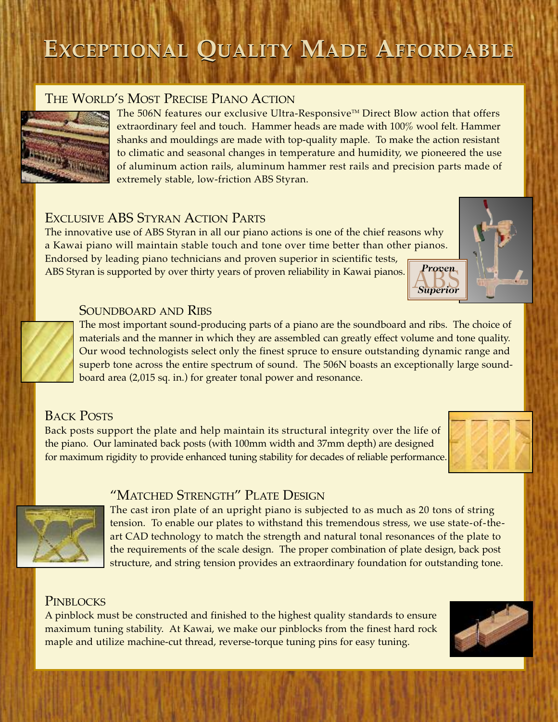# **EXCEPTIONAL QUALITY MADE AFFORDABLE**

# THE WORLD'S MOST PRECISE PIANO ACTION



The 506N features our exclusive Ultra-Responsive™ Direct Blow action that offers extraordinary feel and touch. Hammer heads are made with 100% wool felt. Hammer shanks and mouldings are made with top-quality maple. To make the action resistant to climatic and seasonal changes in temperature and humidity, we pioneered the use of aluminum action rails, aluminum hammer rest rails and precision parts made of extremely stable, low-friction ABS Styran.

# EXCLUSIVE ABS STYRAN ACTION PARTS

The innovative use of ABS Styran in all our piano actions is one of the chief reasons why a Kawai piano will maintain stable touch and tone over time better than other pianos. Endorsed by leading piano technicians and proven superior in scientific tests, ABS Styran is supported by over thirty years of proven reliability in Kawai pianos.



#### SOUNDBOARD AND RIBS

The most important sound-producing parts of a piano are the soundboard and ribs. The choice of materials and the manner in which they are assembled can greatly effect volume and tone quality. Our wood technologists select only the finest spruce to ensure outstanding dynamic range and superb tone across the entire spectrum of sound. The 506N boasts an exceptionally large soundboard area (2,015 sq. in.) for greater tonal power and resonance.

# BACK POSTS

Back posts support the plate and help maintain its structural integrity over the life of the piano. Our laminated back posts (with 100mm width and 37mm depth) are designed for maximum rigidity to provide enhanced tuning stability for decades of reliable performance.





### "MATCHED STRENGTH" PLATE DESIGN

The cast iron plate of an upright piano is subjected to as much as 20 tons of string tension. To enable our plates to withstand this tremendous stress, we use state-of-theart CAD technology to match the strength and natural tonal resonances of the plate to the requirements of the scale design. The proper combination of plate design, back post structure, and string tension provides an extraordinary foundation for outstanding tone.

### **PINBLOCKS**

A pinblock must be constructed and finished to the highest quality standards to ensure maximum tuning stability. At Kawai, we make our pinblocks from the finest hard rock maple and utilize machine-cut thread, reverse-torque tuning pins for easy tuning.